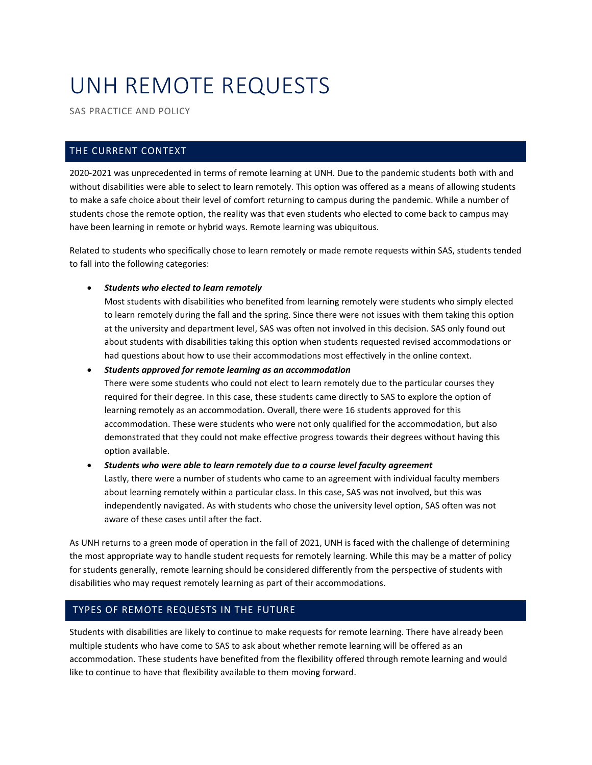# UNH REMOTE REQUESTS

SAS PRACTICE AND POLICY

# THE CURRENT CONTEXT

2020-2021 was unprecedented in terms of remote learning at UNH. Due to the pandemic students both with and without disabilities were able to select to learn remotely. This option was offered as a means of allowing students to make a safe choice about their level of comfort returning to campus during the pandemic. While a number of students chose the remote option, the reality was that even students who elected to come back to campus may have been learning in remote or hybrid ways. Remote learning was ubiquitous.

Related to students who specifically chose to learn remotely or made remote requests within SAS, students tended to fall into the following categories:

#### • *Students who elected to learn remotely*

Most students with disabilities who benefited from learning remotely were students who simply elected to learn remotely during the fall and the spring. Since there were not issues with them taking this option at the university and department level, SAS was often not involved in this decision. SAS only found out about students with disabilities taking this option when students requested revised accommodations or had questions about how to use their accommodations most effectively in the online context.

• *Students approved for remote learning as an accommodation*

There were some students who could not elect to learn remotely due to the particular courses they required for their degree. In this case, these students came directly to SAS to explore the option of learning remotely as an accommodation. Overall, there were 16 students approved for this accommodation. These were students who were not only qualified for the accommodation, but also demonstrated that they could not make effective progress towards their degrees without having this option available.

• *Students who were able to learn remotely due to a course level faculty agreement* Lastly, there were a number of students who came to an agreement with individual faculty members about learning remotely within a particular class. In this case, SAS was not involved, but this was independently navigated. As with students who chose the university level option, SAS often was not aware of these cases until after the fact.

As UNH returns to a green mode of operation in the fall of 2021, UNH is faced with the challenge of determining the most appropriate way to handle student requests for remotely learning. While this may be a matter of policy for students generally, remote learning should be considered differently from the perspective of students with disabilities who may request remotely learning as part of their accommodations.

# TYPES OF REMOTE REQUESTS IN THE FUTURE

Students with disabilities are likely to continue to make requests for remote learning. There have already been multiple students who have come to SAS to ask about whether remote learning will be offered as an accommodation. These students have benefited from the flexibility offered through remote learning and would like to continue to have that flexibility available to them moving forward.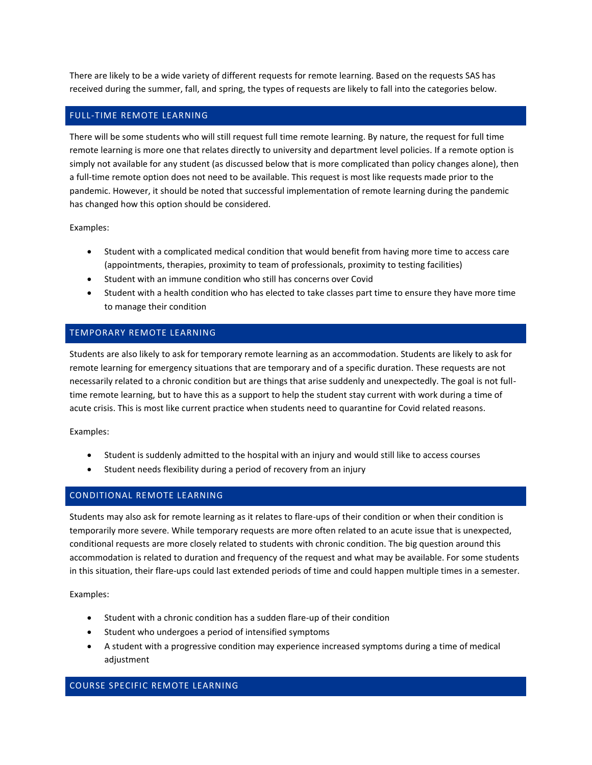There are likely to be a wide variety of different requests for remote learning. Based on the requests SAS has received during the summer, fall, and spring, the types of requests are likely to fall into the categories below.

#### FULL-TIME REMOTE LEARNING

There will be some students who will still request full time remote learning. By nature, the request for full time remote learning is more one that relates directly to university and department level policies. If a remote option is simply not available for any student (as discussed below that is more complicated than policy changes alone), then a full-time remote option does not need to be available. This request is most like requests made prior to the pandemic. However, it should be noted that successful implementation of remote learning during the pandemic has changed how this option should be considered.

Examples:

- Student with a complicated medical condition that would benefit from having more time to access care (appointments, therapies, proximity to team of professionals, proximity to testing facilities)
- Student with an immune condition who still has concerns over Covid
- Student with a health condition who has elected to take classes part time to ensure they have more time to manage their condition

#### TEMPORARY REMOTE LEARNING

Students are also likely to ask for temporary remote learning as an accommodation. Students are likely to ask for remote learning for emergency situations that are temporary and of a specific duration. These requests are not necessarily related to a chronic condition but are things that arise suddenly and unexpectedly. The goal is not fulltime remote learning, but to have this as a support to help the student stay current with work during a time of acute crisis. This is most like current practice when students need to quarantine for Covid related reasons.

Examples:

- Student is suddenly admitted to the hospital with an injury and would still like to access courses
- Student needs flexibility during a period of recovery from an injury

## CONDITIONAL REMOTE LEARNING

Students may also ask for remote learning as it relates to flare-ups of their condition or when their condition is temporarily more severe. While temporary requests are more often related to an acute issue that is unexpected, conditional requests are more closely related to students with chronic condition. The big question around this accommodation is related to duration and frequency of the request and what may be available. For some students in this situation, their flare-ups could last extended periods of time and could happen multiple times in a semester.

Examples:

- Student with a chronic condition has a sudden flare-up of their condition
- Student who undergoes a period of intensified symptoms
- A student with a progressive condition may experience increased symptoms during a time of medical adjustment

#### COURSE SPECIFIC REMOTE LEARNING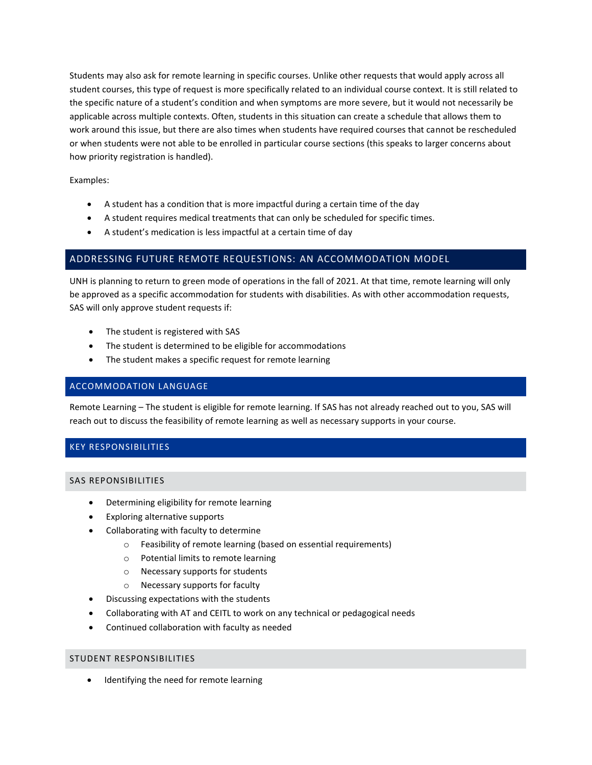Students may also ask for remote learning in specific courses. Unlike other requests that would apply across all student courses, this type of request is more specifically related to an individual course context. It is still related to the specific nature of a student's condition and when symptoms are more severe, but it would not necessarily be applicable across multiple contexts. Often, students in this situation can create a schedule that allows them to work around this issue, but there are also times when students have required courses that cannot be rescheduled or when students were not able to be enrolled in particular course sections (this speaks to larger concerns about how priority registration is handled).

#### Examples:

- A student has a condition that is more impactful during a certain time of the day
- A student requires medical treatments that can only be scheduled for specific times.
- A student's medication is less impactful at a certain time of day

#### ADDRESSING FUTURE REMOTE REQUESTIONS: AN ACCOMMODATION MODEL

UNH is planning to return to green mode of operations in the fall of 2021. At that time, remote learning will only be approved as a specific accommodation for students with disabilities. As with other accommodation requests, SAS will only approve student requests if:

- The student is registered with SAS
- The student is determined to be eligible for accommodations
- The student makes a specific request for remote learning

#### ACCOMMODATION LANGUAGE

Remote Learning – The student is eligible for remote learning. If SAS has not already reached out to you, SAS will reach out to discuss the feasibility of remote learning as well as necessary supports in your course.

## KEY RESPONSIBILITIES

#### SAS REPONSIBILITIES

- Determining eligibility for remote learning
- Exploring alternative supports
- Collaborating with faculty to determine
	- o Feasibility of remote learning (based on essential requirements)
	- o Potential limits to remote learning
	- o Necessary supports for students
	- o Necessary supports for faculty
- Discussing expectations with the students
- Collaborating with AT and CEITL to work on any technical or pedagogical needs
- Continued collaboration with faculty as needed

#### STUDENT RESPONSIBILITIES

Identifying the need for remote learning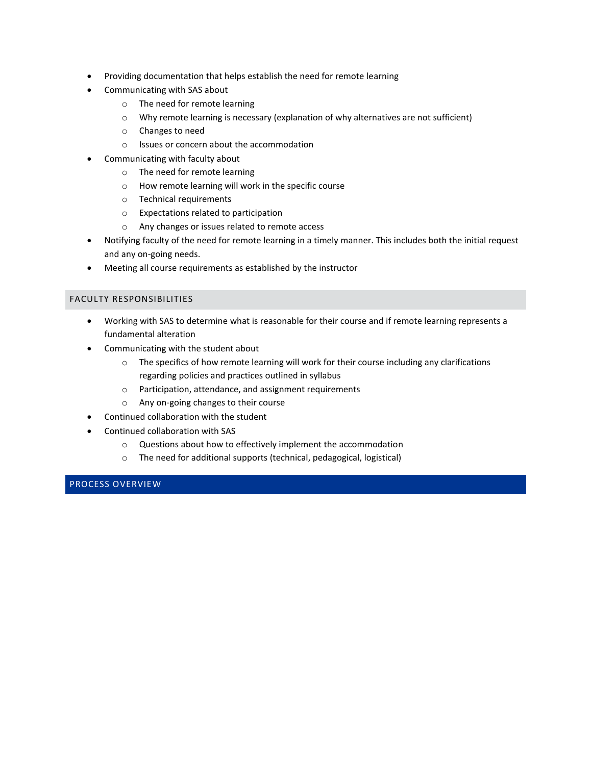- Providing documentation that helps establish the need for remote learning
- Communicating with SAS about
	- o The need for remote learning
	- o Why remote learning is necessary (explanation of why alternatives are not sufficient)
	- o Changes to need
	- o Issues or concern about the accommodation
- Communicating with faculty about
	- o The need for remote learning
	- o How remote learning will work in the specific course
	- o Technical requirements
	- o Expectations related to participation
	- o Any changes or issues related to remote access
- Notifying faculty of the need for remote learning in a timely manner. This includes both the initial request and any on-going needs.
- Meeting all course requirements as established by the instructor

#### FACULTY RESPONSIBILITIES

- Working with SAS to determine what is reasonable for their course and if remote learning represents a fundamental alteration
- Communicating with the student about
	- o The specifics of how remote learning will work for their course including any clarifications regarding policies and practices outlined in syllabus
	- o Participation, attendance, and assignment requirements
	- o Any on-going changes to their course
- Continued collaboration with the student
- Continued collaboration with SAS
	- o Questions about how to effectively implement the accommodation
	- o The need for additional supports (technical, pedagogical, logistical)

# PROCESS OVERVIEW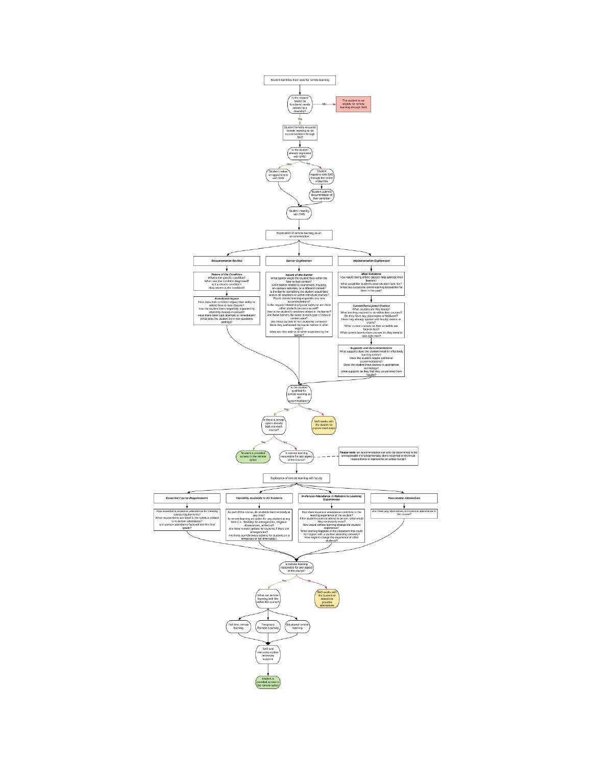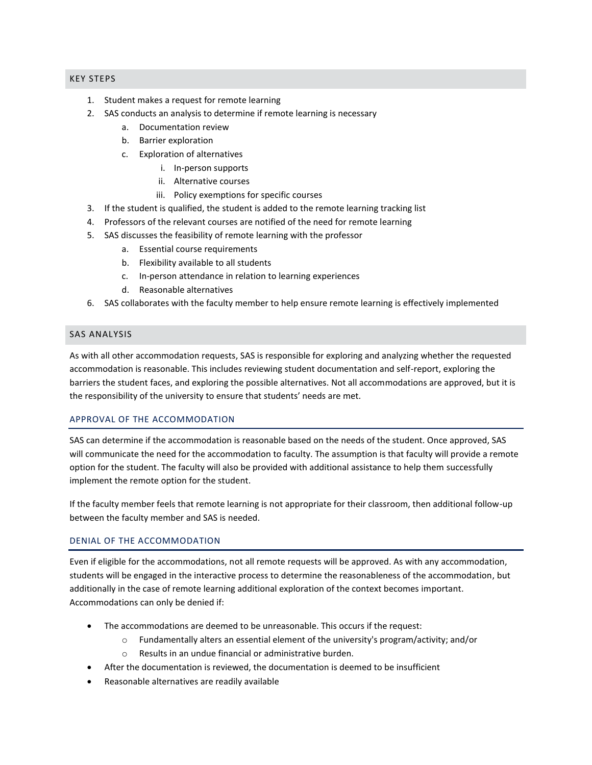#### KEY STEPS

- 1. Student makes a request for remote learning
- 2. SAS conducts an analysis to determine if remote learning is necessary
	- a. Documentation review
	- b. Barrier exploration
	- c. Exploration of alternatives
		- i. In-person supports
		- ii. Alternative courses
		- iii. Policy exemptions for specific courses
- 3. If the student is qualified, the student is added to the remote learning tracking list
- 4. Professors of the relevant courses are notified of the need for remote learning
- 5. SAS discusses the feasibility of remote learning with the professor
	- a. Essential course requirements
	- b. Flexibility available to all students
	- c. In-person attendance in relation to learning experiences
	- d. Reasonable alternatives
- 6. SAS collaborates with the faculty member to help ensure remote learning is effectively implemented

#### SAS ANALYSIS

As with all other accommodation requests, SAS is responsible for exploring and analyzing whether the requested accommodation is reasonable. This includes reviewing student documentation and self-report, exploring the barriers the student faces, and exploring the possible alternatives. Not all accommodations are approved, but it is the responsibility of the university to ensure that students' needs are met.

#### APPROVAL OF THE ACCOMMODATION

SAS can determine if the accommodation is reasonable based on the needs of the student. Once approved, SAS will communicate the need for the accommodation to faculty. The assumption is that faculty will provide a remote option for the student. The faculty will also be provided with additional assistance to help them successfully implement the remote option for the student.

If the faculty member feels that remote learning is not appropriate for their classroom, then additional follow-up between the faculty member and SAS is needed.

#### DENIAL OF THE ACCOMMODATION

Even if eligible for the accommodations, not all remote requests will be approved. As with any accommodation, students will be engaged in the interactive process to determine the reasonableness of the accommodation, but additionally in the case of remote learning additional exploration of the context becomes important. Accommodations can only be denied if:

- The accommodations are deemed to be unreasonable. This occurs if the request:
	- $\circ$  Fundamentally alters an essential element of the university's program/activity; and/or
	- o Results in an undue financial or administrative burden.
- After the documentation is reviewed, the documentation is deemed to be insufficient
- Reasonable alternatives are readily available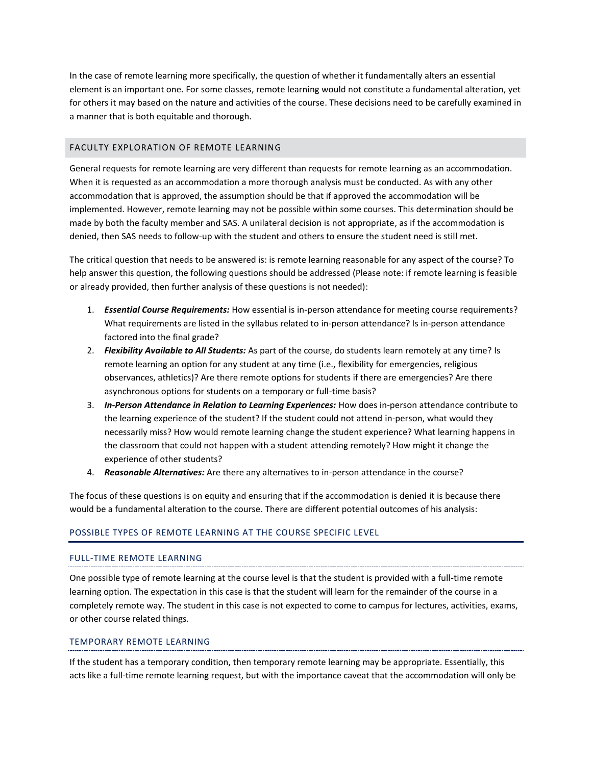In the case of remote learning more specifically, the question of whether it fundamentally alters an essential element is an important one. For some classes, remote learning would not constitute a fundamental alteration, yet for others it may based on the nature and activities of the course. These decisions need to be carefully examined in a manner that is both equitable and thorough.

#### FACULTY EXPLORATION OF REMOTE LEARNING

General requests for remote learning are very different than requests for remote learning as an accommodation. When it is requested as an accommodation a more thorough analysis must be conducted. As with any other accommodation that is approved, the assumption should be that if approved the accommodation will be implemented. However, remote learning may not be possible within some courses. This determination should be made by both the faculty member and SAS. A unilateral decision is not appropriate, as if the accommodation is denied, then SAS needs to follow-up with the student and others to ensure the student need is still met.

The critical question that needs to be answered is: is remote learning reasonable for any aspect of the course? To help answer this question, the following questions should be addressed (Please note: if remote learning is feasible or already provided, then further analysis of these questions is not needed):

- 1. *Essential Course Requirements:* How essential is in-person attendance for meeting course requirements? What requirements are listed in the syllabus related to in-person attendance? Is in-person attendance factored into the final grade?
- 2. *Flexibility Available to All Students:* As part of the course, do students learn remotely at any time? Is remote learning an option for any student at any time (i.e., flexibility for emergencies, religious observances, athletics)? Are there remote options for students if there are emergencies? Are there asynchronous options for students on a temporary or full-time basis?
- 3. *In-Person Attendance in Relation to Learning Experiences:* How does in-person attendance contribute to the learning experience of the student? If the student could not attend in-person, what would they necessarily miss? How would remote learning change the student experience? What learning happens in the classroom that could not happen with a student attending remotely? How might it change the experience of other students?
- 4. *Reasonable Alternatives:* Are there any alternatives to in-person attendance in the course?

The focus of these questions is on equity and ensuring that if the accommodation is denied it is because there would be a fundamental alteration to the course. There are different potential outcomes of his analysis:

#### POSSIBLE TYPES OF REMOTE LEARNING AT THE COURSE SPECIFIC LEVEL

#### FULL-TIME REMOTE LEARNING

One possible type of remote learning at the course level is that the student is provided with a full-time remote learning option. The expectation in this case is that the student will learn for the remainder of the course in a completely remote way. The student in this case is not expected to come to campus for lectures, activities, exams, or other course related things.

#### TEMPORARY REMOTE LEARNING

If the student has a temporary condition, then temporary remote learning may be appropriate. Essentially, this acts like a full-time remote learning request, but with the importance caveat that the accommodation will only be